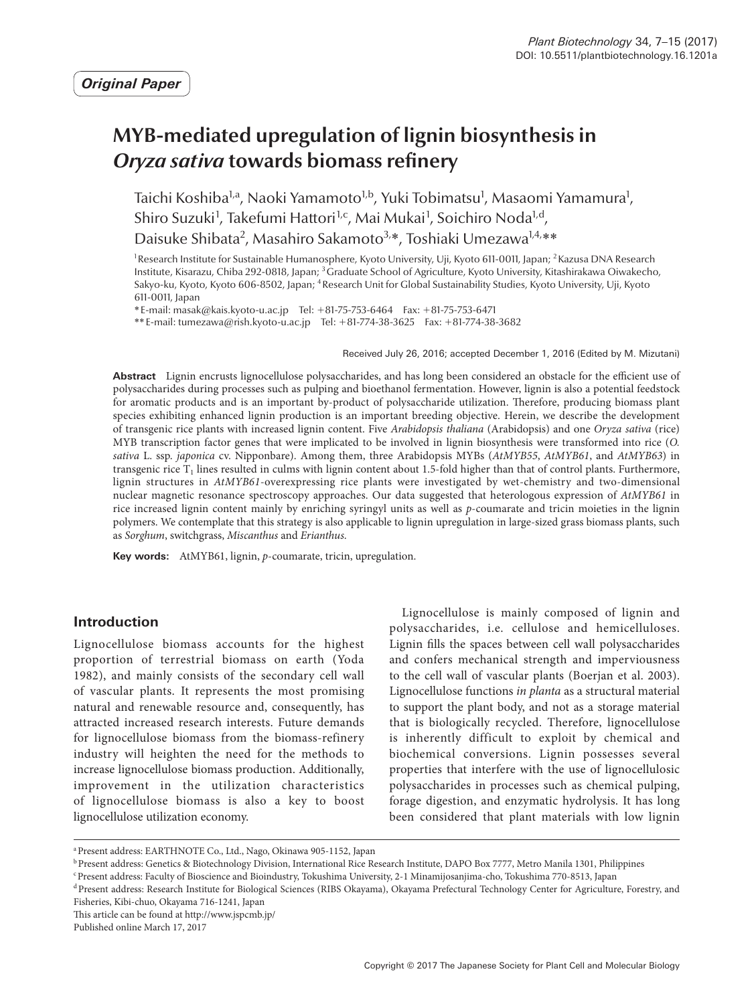# **MYB-mediated upregulation of lignin biosynthesis in**  *Oryza sativa* **towards biomass refinery**

Taichi Koshiba<sup>1,a</sup>, Naoki Yamamoto<sup>1,b</sup>, Yuki Tobimatsu<sup>1</sup>, Masaomi Yamamura<sup>1</sup>, Shiro Suzuki<sup>1</sup>, Takefumi Hattori<sup>1,c</sup>, Mai Mukai<sup>1</sup>, Soichiro Noda<sup>1,d</sup>, Daisuke Shibata<sup>2</sup>, Masahiro Sakamoto<sup>3,\*</sup>, Toshiaki Umezawa<sup>1,4,\*\*</sup>

<sup>1</sup>Research Institute for Sustainable Humanosphere, Kyoto University, Uji, Kyoto 611-0011, Japan; <sup>2</sup> Kazusa DNA Research Institute, Kisarazu, Chiba 292-0818, Japan; 3Graduate School of Agriculture, Kyoto University, Kitashirakawa Oiwakecho, Sakyo-ku, Kyoto, Kyoto 606-8502, Japan; 4Research Unit for Global Sustainability Studies, Kyoto University, Uji, Kyoto 611-0011, Japan

\*E-mail: masak@kais.kyoto-u.ac.jp Tel: +81-75-753-6464 Fax: +81-75-753-6471

\*\*E-mail: tumezawa@rish.kyoto-u.ac.jp Tel: +81-774-38-3625 Fax: +81-774-38-3682

Received July 26, 2016; accepted December 1, 2016 (Edited by M. Mizutani)

**Abstract** Lignin encrusts lignocellulose polysaccharides, and has long been considered an obstacle for the efficient use of polysaccharides during processes such as pulping and bioethanol fermentation. However, lignin is also a potential feedstock for aromatic products and is an important by-product of polysaccharide utilization. Therefore, producing biomass plant species exhibiting enhanced lignin production is an important breeding objective. Herein, we describe the development of transgenic rice plants with increased lignin content. Five *Arabidopsis thaliana* (Arabidopsis) and one *Oryza sativa* (rice) MYB transcription factor genes that were implicated to be involved in lignin biosynthesis were transformed into rice (*O. sativa* L. ssp. *japonica* cv. Nipponbare). Among them, three Arabidopsis MYBs (*AtMYB55*, *AtMYB61*, and *AtMYB63*) in transgenic rice  $T_1$  lines resulted in culms with lignin content about 1.5-fold higher than that of control plants. Furthermore, lignin structures in *AtMYB61*-overexpressing rice plants were investigated by wet-chemistry and two-dimensional nuclear magnetic resonance spectroscopy approaches. Our data suggested that heterologous expression of *AtMYB61* in rice increased lignin content mainly by enriching syringyl units as well as *p*-coumarate and tricin moieties in the lignin polymers. We contemplate that this strategy is also applicable to lignin upregulation in large-sized grass biomass plants, such as *Sorghum*, switchgrass, *Miscanthus* and *Erianthus*.

**Key words:** AtMYB61, lignin, *p*-coumarate, tricin, upregulation.

# **Introduction**

Lignocellulose biomass accounts for the highest proportion of terrestrial biomass on earth (Yoda 1982), and mainly consists of the secondary cell wall of vascular plants. It represents the most promising natural and renewable resource and, consequently, has attracted increased research interests. Future demands for lignocellulose biomass from the biomass-refinery industry will heighten the need for the methods to increase lignocellulose biomass production. Additionally, improvement in the utilization characteristics of lignocellulose biomass is also a key to boost lignocellulose utilization economy.

Lignocellulose is mainly composed of lignin and polysaccharides, i.e. cellulose and hemicelluloses. Lignin fills the spaces between cell wall polysaccharides and confers mechanical strength and imperviousness to the cell wall of vascular plants (Boerjan et al. 2003). Lignocellulose functions *in planta* as a structural material to support the plant body, and not as a storage material that is biologically recycled. Therefore, lignocellulose is inherently difficult to exploit by chemical and biochemical conversions. Lignin possesses several properties that interfere with the use of lignocellulosic polysaccharides in processes such as chemical pulping, forage digestion, and enzymatic hydrolysis. It has long been considered that plant materials with low lignin

<sup>b</sup> Present address: Genetics & Biotechnology Division, International Rice Research Institute, DAPO Box 7777, Metro Manila 1301, Philippines

This article can be found at http://www.jspcmb.jp/ Published online March 17, 2017

aPresent address: EARTHNOTE Co., Ltd., Nago, Okinawa 905-1152, Japan

cPresent address: Faculty of Bioscience and Bioindustry, Tokushima University, 2-1 Minamijosanjima-cho, Tokushima 770-8513, Japan

dPresent address: Research Institute for Biological Sciences (RIBS Okayama), Okayama Prefectural Technology Center for Agriculture, Forestry, and Fisheries, Kibi-chuo, Okayama 716-1241, Japan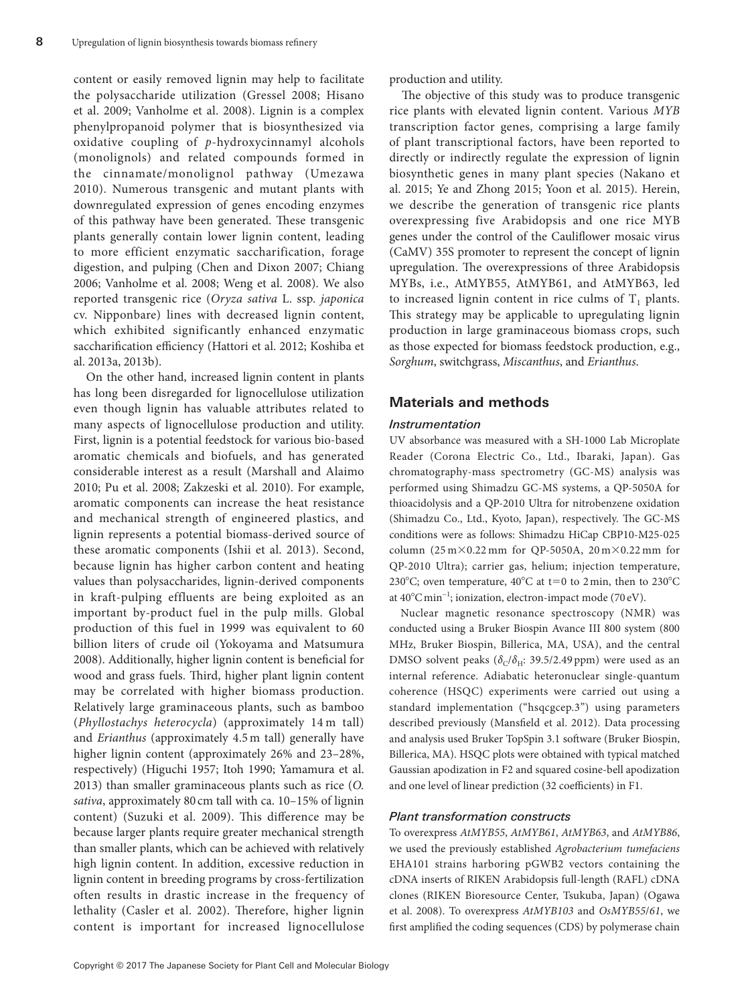content or easily removed lignin may help to facilitate the polysaccharide utilization (Gressel 2008; Hisano et al. 2009; Vanholme et al. 2008). Lignin is a complex phenylpropanoid polymer that is biosynthesized via oxidative coupling of *p*-hydroxycinnamyl alcohols (monolignols) and related compounds formed in the cinnamate/monolignol pathway (Umezawa 2010). Numerous transgenic and mutant plants with downregulated expression of genes encoding enzymes of this pathway have been generated. These transgenic plants generally contain lower lignin content, leading to more efficient enzymatic saccharification, forage digestion, and pulping (Chen and Dixon 2007; Chiang 2006; Vanholme et al. 2008; Weng et al. 2008). We also reported transgenic rice (*Oryza sativa* L. ssp. *japonica* cv. Nipponbare) lines with decreased lignin content, which exhibited significantly enhanced enzymatic saccharification efficiency (Hattori et al. 2012; Koshiba et al. 2013a, 2013b).

On the other hand, increased lignin content in plants has long been disregarded for lignocellulose utilization even though lignin has valuable attributes related to many aspects of lignocellulose production and utility. First, lignin is a potential feedstock for various bio-based aromatic chemicals and biofuels, and has generated considerable interest as a result (Marshall and Alaimo 2010; Pu et al. 2008; Zakzeski et al. 2010). For example, aromatic components can increase the heat resistance and mechanical strength of engineered plastics, and lignin represents a potential biomass-derived source of these aromatic components (Ishii et al. 2013). Second, because lignin has higher carbon content and heating values than polysaccharides, lignin-derived components in kraft-pulping effluents are being exploited as an important by-product fuel in the pulp mills. Global production of this fuel in 1999 was equivalent to 60 billion liters of crude oil (Yokoyama and Matsumura 2008). Additionally, higher lignin content is beneficial for wood and grass fuels. Third, higher plant lignin content may be correlated with higher biomass production. Relatively large graminaceous plants, such as bamboo (*Phyllostachys heterocycla*) (approximately 14 m tall) and *Erianthus* (approximately 4.5 m tall) generally have higher lignin content (approximately 26% and 23–28%, respectively) (Higuchi 1957; Itoh 1990; Yamamura et al. 2013) than smaller graminaceous plants such as rice (*O. sativa*, approximately 80 cm tall with ca. 10–15% of lignin content) (Suzuki et al. 2009). This difference may be because larger plants require greater mechanical strength than smaller plants, which can be achieved with relatively high lignin content. In addition, excessive reduction in lignin content in breeding programs by cross-fertilization often results in drastic increase in the frequency of lethality (Casler et al. 2002). Therefore, higher lignin content is important for increased lignocellulose

production and utility.

The objective of this study was to produce transgenic rice plants with elevated lignin content. Various *MYB* transcription factor genes, comprising a large family of plant transcriptional factors, have been reported to directly or indirectly regulate the expression of lignin biosynthetic genes in many plant species (Nakano et al. 2015; Ye and Zhong 2015; Yoon et al. 2015). Herein, we describe the generation of transgenic rice plants overexpressing five Arabidopsis and one rice MYB genes under the control of the Cauliflower mosaic virus (CaMV) 35S promoter to represent the concept of lignin upregulation. The overexpressions of three Arabidopsis MYBs, i.e., AtMYB55, AtMYB61, and AtMYB63, led to increased lignin content in rice culms of  $T_1$  plants. This strategy may be applicable to upregulating lignin production in large graminaceous biomass crops, such as those expected for biomass feedstock production, e.g., *Sorghum*, switchgrass, *Miscanthus*, and *Erianthus*.

# **Materials and methods**

## *Instrumentation*

UV absorbance was measured with a SH-1000 Lab Microplate Reader (Corona Electric Co., Ltd., Ibaraki, Japan). Gas chromatography-mass spectrometry (GC-MS) analysis was performed using Shimadzu GC-MS systems, a QP-5050A for thioacidolysis and a QP-2010 Ultra for nitrobenzene oxidation (Shimadzu Co., Ltd., Kyoto, Japan), respectively. The GC-MS conditions were as follows: Shimadzu HiCap CBP10-M25-025 column  $(25 \text{ m} \times 0.22 \text{ mm}$  for QP-5050A,  $20 \text{ m} \times 0.22 \text{ mm}$  for QP-2010 Ultra); carrier gas, helium; injection temperature, 230°C; oven temperature,  $40^{\circ}$ C at t=0 to 2min, then to 230°C at 40°Cmin−1; ionization, electron-impact mode (70 eV).

Nuclear magnetic resonance spectroscopy (NMR) was conducted using a Bruker Biospin Avance III 800 system (800 MHz, Bruker Biospin, Billerica, MA, USA), and the central DMSO solvent peaks ( $\delta$ <sub>C</sub>/ $\delta$ <sub>H</sub>: 39.5/2.49 ppm) were used as an internal reference. Adiabatic heteronuclear single-quantum coherence (HSQC) experiments were carried out using a standard implementation ("hsqcgcep.3") using parameters described previously (Mansfield et al. 2012). Data processing and analysis used Bruker TopSpin 3.1 software (Bruker Biospin, Billerica, MA). HSQC plots were obtained with typical matched Gaussian apodization in F2 and squared cosine-bell apodization and one level of linear prediction (32 coefficients) in F1.

## *Plant transformation constructs*

To overexpress *AtMYB55*, *AtMYB61*, *AtMYB63*, and *AtMYB86*, we used the previously established *Agrobacterium tumefaciens* EHA101 strains harboring pGWB2 vectors containing the cDNA inserts of RIKEN Arabidopsis full-length (RAFL) cDNA clones (RIKEN Bioresource Center, Tsukuba, Japan) (Ogawa et al. 2008). To overexpress *AtMYB103* and *OsMYB55*/*61*, we first amplified the coding sequences (CDS) by polymerase chain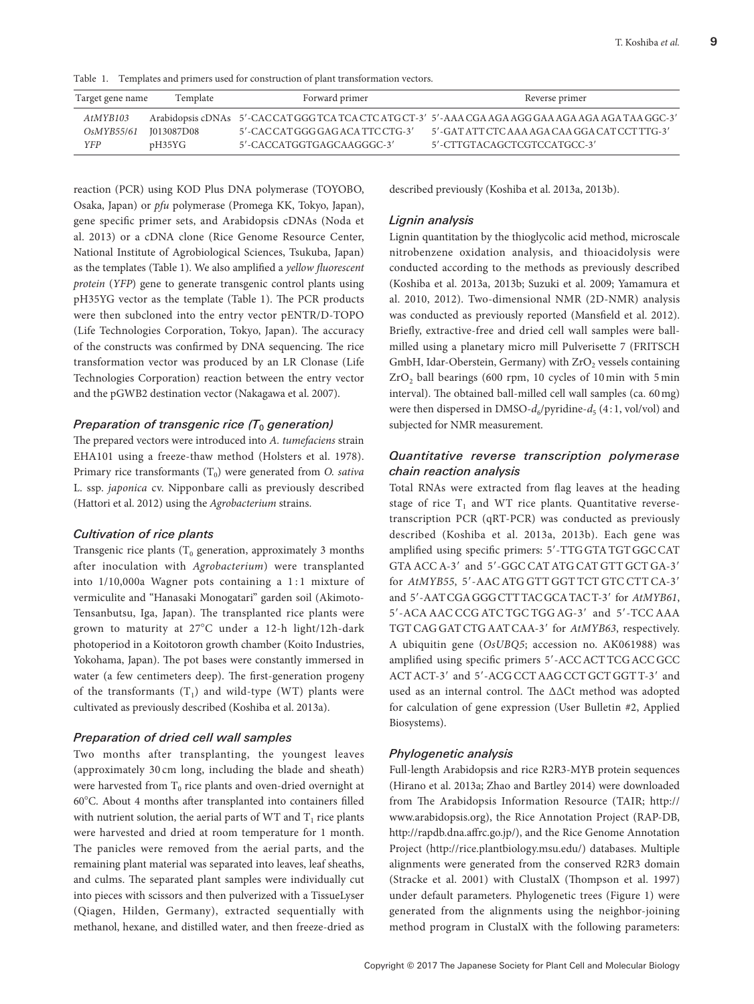Table 1. Templates and primers used for construction of plant transformation vectors.

| Target gene name      | Template | Forward primer               | Reverse primer                                                                                   |
|-----------------------|----------|------------------------------|--------------------------------------------------------------------------------------------------|
| AtMYB103              |          |                              | Arabidopsis cDNAs 5'-CACCATGGG TCATCA CTCATG CT-3' 5'-AAA CGA AGA AGG GAA AGA AGA AGA TAA GGC-3' |
| OsMYB55/61 I013087D08 |          | 5'-CACCATGGGGAGACA TTCCTG-3' | 5'-GAT ATT CTC AAA AGA CAA GGA CAT CCT TTG-3'                                                    |
| YFP                   | pH35YG   | 5'-CACCATGGTGAGCAAGGGC-3'    | 5'-CTTGTACAGCTCGTCCATGCC-3'                                                                      |

reaction (PCR) using KOD Plus DNA polymerase (TOYOBO, Osaka, Japan) or *pfu* polymerase (Promega KK, Tokyo, Japan), gene specific primer sets, and Arabidopsis cDNAs (Noda et al. 2013) or a cDNA clone (Rice Genome Resource Center, National Institute of Agrobiological Sciences, Tsukuba, Japan) as the templates (Table 1). We also amplified a *yellow fluorescent protein* (*YFP*) gene to generate transgenic control plants using pH35YG vector as the template (Table 1). The PCR products were then subcloned into the entry vector pENTR/D-TOPO (Life Technologies Corporation, Tokyo, Japan). The accuracy of the constructs was confirmed by DNA sequencing. The rice transformation vector was produced by an LR Clonase (Life Technologies Corporation) reaction between the entry vector and the pGWB2 destination vector (Nakagawa et al. 2007).

#### *Preparation of transgenic rice (T<sub>0</sub> generation)*

The prepared vectors were introduced into *A. tumefaciens* strain EHA101 using a freeze-thaw method (Holsters et al. 1978). Primary rice transformants (T<sub>0</sub>) were generated from *O. sativa* L. ssp. *japonica* cv. Nipponbare calli as previously described (Hattori et al. 2012) using the *Agrobacterium* strains.

#### *Cultivation of rice plants*

Transgenic rice plants  $(T_0$  generation, approximately 3 months after inoculation with *Agrobacterium*) were transplanted into 1/10,000a Wagner pots containing a 1 : 1 mixture of vermiculite and "Hanasaki Monogatari" garden soil (Akimoto-Tensanbutsu, Iga, Japan). The transplanted rice plants were grown to maturity at 27°C under a 12-h light/12h-dark photoperiod in a Koitotoron growth chamber (Koito Industries, Yokohama, Japan). The pot bases were constantly immersed in water (a few centimeters deep). The first-generation progeny of the transformants  $(T_1)$  and wild-type (WT) plants were cultivated as previously described (Koshiba et al. 2013a).

## *Preparation of dried cell wall samples*

Two months after transplanting, the youngest leaves (approximately 30 cm long, including the blade and sheath) were harvested from  $T_0$  rice plants and oven-dried overnight at 60°C. About 4 months after transplanted into containers filled with nutrient solution, the aerial parts of WT and  $T_1$  rice plants were harvested and dried at room temperature for 1 month. The panicles were removed from the aerial parts, and the remaining plant material was separated into leaves, leaf sheaths, and culms. The separated plant samples were individually cut into pieces with scissors and then pulverized with a TissueLyser (Qiagen, Hilden, Germany), extracted sequentially with methanol, hexane, and distilled water, and then freeze-dried as

described previously (Koshiba et al. 2013a, 2013b).

## *Lignin analysis*

Lignin quantitation by the thioglycolic acid method, microscale nitrobenzene oxidation analysis, and thioacidolysis were conducted according to the methods as previously described (Koshiba et al. 2013a, 2013b; Suzuki et al. 2009; Yamamura et al. 2010, 2012). Two-dimensional NMR (2D-NMR) analysis was conducted as previously reported (Mansfield et al. 2012). Briefly, extractive-free and dried cell wall samples were ballmilled using a planetary micro mill Pulverisette 7 (FRITSCH GmbH, Idar-Oberstein, Germany) with  $ZrO<sub>2</sub>$  vessels containing  $ZrO<sub>2</sub>$  ball bearings (600 rpm, 10 cycles of 10 min with 5 min interval). The obtained ball-milled cell wall samples (ca. 60mg) were then dispersed in DMSO- $d_6$ /pyridine- $d_5$  (4:1, vol/vol) and subjected for NMR measurement.

# *Quantitative reverse transcription polymerase chain reaction analysis*

Total RNAs were extracted from flag leaves at the heading stage of rice  $T_1$  and WT rice plants. Quantitative reversetranscription PCR (qRT-PCR) was conducted as previously described (Koshiba et al. 2013a, 2013b). Each gene was amplified using specific primers: 5′-TTG GTA TGT GGC CAT GTA ACC A-3′ and 5′-GGC CAT ATG CAT GTT GCT GA-3′ for *AtMYB55*, 5′-AAC ATG GTT GGT TCT GTC CTT CA-3′ and 5′-AAT CGA GGG CTT TAC GCA TAC T-3′ for *AtMYB61*, 5′-ACA AAC CCG ATC TGC TGG AG-3′ and 5′-TCC AAA TGT CAG GATCTG AATCAA-3′ for *AtMYB63*, respectively. A ubiquitin gene (*OsUBQ5*; accession no. AK061988) was amplified using specific primers 5′-ACC ACT TCG ACC GCC ACT ACT-3′ and 5′-ACG CCT AAG CCT GCT GGT T-3′ and used as an internal control. The ΔΔCt method was adopted for calculation of gene expression (User Bulletin #2, Applied Biosystems).

## *Phylogenetic analysis*

Full-length Arabidopsis and rice R2R3-MYB protein sequences (Hirano et al. 2013a; Zhao and Bartley 2014) were downloaded from The Arabidopsis Information Resource (TAIR; http:// www.arabidopsis.org), the Rice Annotation Project (RAP-DB, http://rapdb.dna.affrc.go.jp/), and the Rice Genome Annotation Project (http://rice.plantbiology.msu.edu/) databases. Multiple alignments were generated from the conserved R2R3 domain (Stracke et al. 2001) with ClustalX (Thompson et al. 1997) under default parameters. Phylogenetic trees (Figure 1) were generated from the alignments using the neighbor-joining method program in ClustalX with the following parameters: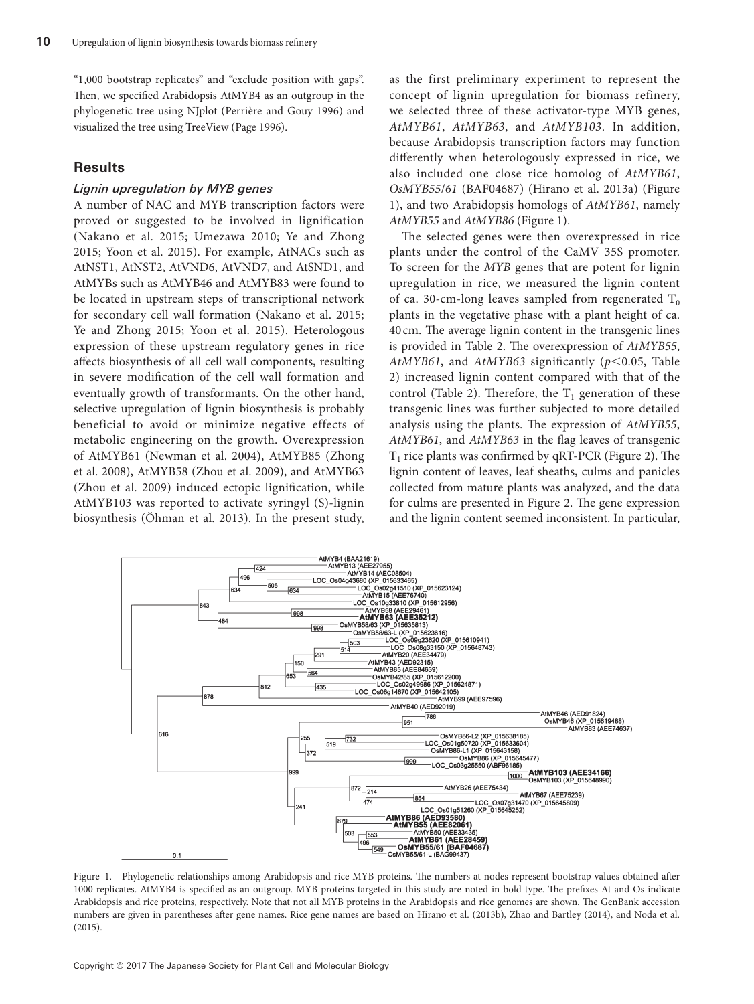"1,000 bootstrap replicates" and "exclude position with gaps". Then, we specified Arabidopsis AtMYB4 as an outgroup in the phylogenetic tree using NJplot (Perrière and Gouy 1996) and visualized the tree using TreeView (Page 1996).

## **Results**

## *Lignin upregulation by MYB genes*

A number of NAC and MYB transcription factors were proved or suggested to be involved in lignification (Nakano et al. 2015; Umezawa 2010; Ye and Zhong 2015; Yoon et al. 2015). For example, AtNACs such as AtNST1, AtNST2, AtVND6, AtVND7, and AtSND1, and AtMYBs such as AtMYB46 and AtMYB83 were found to be located in upstream steps of transcriptional network for secondary cell wall formation (Nakano et al. 2015; Ye and Zhong 2015; Yoon et al. 2015). Heterologous expression of these upstream regulatory genes in rice affects biosynthesis of all cell wall components, resulting in severe modification of the cell wall formation and eventually growth of transformants. On the other hand, selective upregulation of lignin biosynthesis is probably beneficial to avoid or minimize negative effects of metabolic engineering on the growth. Overexpression of AtMYB61 (Newman et al. 2004), AtMYB85 (Zhong et al. 2008), AtMYB58 (Zhou et al. 2009), and AtMYB63 (Zhou et al. 2009) induced ectopic lignification, while AtMYB103 was reported to activate syringyl (S)-lignin biosynthesis (Öhman et al. 2013). In the present study,

as the first preliminary experiment to represent the concept of lignin upregulation for biomass refinery, we selected three of these activator-type MYB genes, *AtMYB61*, *AtMYB63*, and *AtMYB103*. In addition, because Arabidopsis transcription factors may function differently when heterologously expressed in rice, we also included one close rice homolog of *AtMYB61*, *OsMYB55*/*61* (BAF04687) (Hirano et al. 2013a) (Figure 1), and two Arabidopsis homologs of *AtMYB61*, namely *AtMYB55* and *AtMYB86* (Figure 1).

The selected genes were then overexpressed in rice plants under the control of the CaMV 35S promoter. To screen for the *MYB* genes that are potent for lignin upregulation in rice, we measured the lignin content of ca. 30-cm-long leaves sampled from regenerated  $T_0$ plants in the vegetative phase with a plant height of ca. 40 cm. The average lignin content in the transgenic lines is provided in Table 2. The overexpression of *AtMYB55*, *AtMYB61*, and *AtMYB63* significantly (*p*<0.05, Table 2) increased lignin content compared with that of the control (Table 2). Therefore, the  $T_1$  generation of these transgenic lines was further subjected to more detailed analysis using the plants. The expression of *AtMYB55*, *AtMYB61*, and *AtMYB63* in the flag leaves of transgenic  $T_1$  rice plants was confirmed by qRT-PCR (Figure 2). The lignin content of leaves, leaf sheaths, culms and panicles collected from mature plants was analyzed, and the data for culms are presented in Figure 2. The gene expression and the lignin content seemed inconsistent. In particular,



Figure 1. Phylogenetic relationships among Arabidopsis and rice MYB proteins. The numbers at nodes represent bootstrap values obtained after 1000 replicates. AtMYB4 is specified as an outgroup. MYB proteins targeted in this study are noted in bold type. The prefixes At and Os indicate Arabidopsis and rice proteins, respectively. Note that not all MYB proteins in the Arabidopsis and rice genomes are shown. The GenBank accession numbers are given in parentheses after gene names. Rice gene names are based on Hirano et al. (2013b), Zhao and Bartley (2014), and Noda et al. (2015).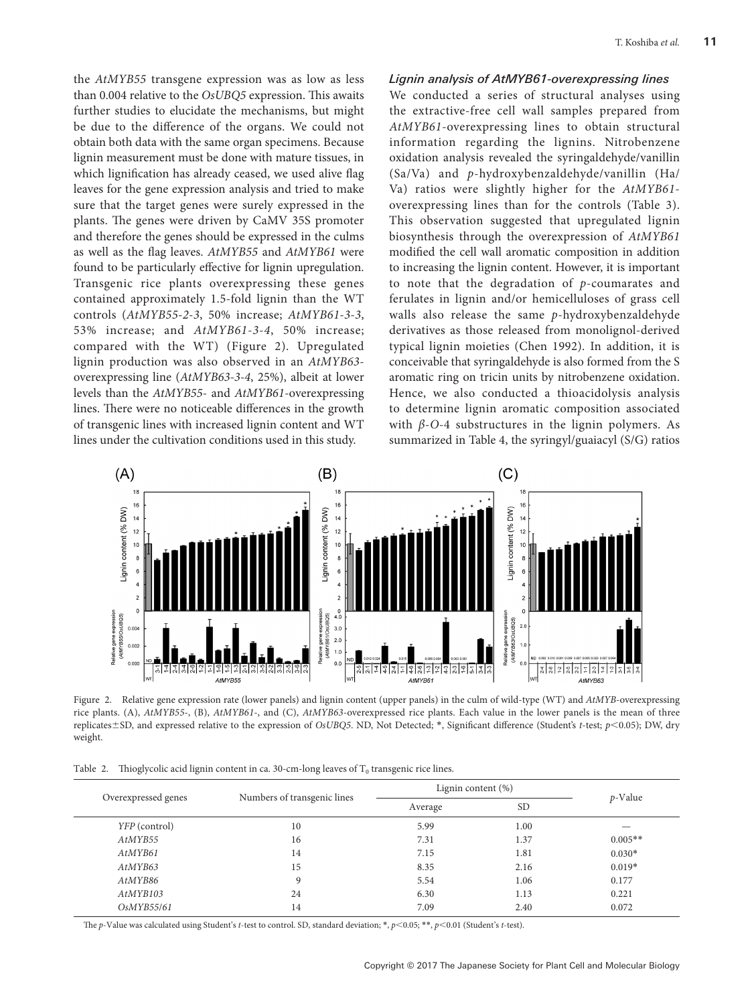the *AtMYB55* transgene expression was as low as less than 0.004 relative to the *OsUBQ5* expression. This awaits further studies to elucidate the mechanisms, but might be due to the difference of the organs. We could not obtain both data with the same organ specimens. Because lignin measurement must be done with mature tissues, in which lignification has already ceased, we used alive flag leaves for the gene expression analysis and tried to make sure that the target genes were surely expressed in the plants. The genes were driven by CaMV 35S promoter and therefore the genes should be expressed in the culms as well as the flag leaves. *AtMYB55* and *AtMYB61* were found to be particularly effective for lignin upregulation. Transgenic rice plants overexpressing these genes contained approximately 1.5-fold lignin than the WT controls (*AtMYB55-2-3*, 50% increase; *AtMYB61-3-3*, 53% increase; and *AtMYB61-3-4*, 50% increase; compared with the WT) (Figure 2). Upregulated lignin production was also observed in an *AtMYB63* overexpressing line (*AtMYB63-3-4*, 25%), albeit at lower levels than the *AtMYB55*- and *AtMYB61*-overexpressing lines. There were no noticeable differences in the growth of transgenic lines with increased lignin content and WT lines under the cultivation conditions used in this study.

## *Lignin analysis of AtMYB61-overexpressing lines*

We conducted a series of structural analyses using the extractive-free cell wall samples prepared from *AtMYB61*-overexpressing lines to obtain structural information regarding the lignins. Nitrobenzene oxidation analysis revealed the syringaldehyde/vanillin (Sa/Va) and *p*-hydroxybenzaldehyde/vanillin (Ha/ Va) ratios were slightly higher for the *AtMYB61* overexpressing lines than for the controls (Table 3). This observation suggested that upregulated lignin biosynthesis through the overexpression of *AtMYB61* modified the cell wall aromatic composition in addition to increasing the lignin content. However, it is important to note that the degradation of *p*-coumarates and ferulates in lignin and/or hemicelluloses of grass cell walls also release the same *p*-hydroxybenzaldehyde derivatives as those released from monolignol-derived typical lignin moieties (Chen 1992). In addition, it is conceivable that syringaldehyde is also formed from the S aromatic ring on tricin units by nitrobenzene oxidation. Hence, we also conducted a thioacidolysis analysis to determine lignin aromatic composition associated with  $\beta$ -*O*-4 substructures in the lignin polymers. As summarized in Table 4, the syringyl/guaiacyl (S/G) ratios



Figure 2. Relative gene expression rate (lower panels) and lignin content (upper panels) in the culm of wild-type (WT) and *AtMYB*-overexpressing rice plants. (A), *AtMYB55-*, (B), *AtMYB61-*, and (C), *AtMYB63*-overexpressed rice plants. Each value in the lower panels is the mean of three replicates±SD, and expressed relative to the expression of *OsUBQ5*. ND, Not Detected; \*, Significant difference (Student's *t*-test; *p*<0.05); DW, dry weight.

|  |  | Table 2. Thioglycolic acid lignin content in ca. 30-cm-long leaves of $T_0$ transgenic rice lines. |  |
|--|--|----------------------------------------------------------------------------------------------------|--|
|--|--|----------------------------------------------------------------------------------------------------|--|

|                     |                             | Lignin content $(\%)$ |           |            |
|---------------------|-----------------------------|-----------------------|-----------|------------|
| Overexpressed genes | Numbers of transgenic lines | Average               | <b>SD</b> | $p$ -Value |
| YFP (control)       | 10                          | 5.99                  | 1.00      |            |
| AtMYB55             | 16                          | 7.31                  | 1.37      | $0.005**$  |
| AtMYB61             | 14                          | 7.15                  | 1.81      | $0.030*$   |
| AtMYB63             | 15                          | 8.35                  | 2.16      | $0.019*$   |
| AtMYB86             | 9                           | 5.54                  | 1.06      | 0.177      |
| AtMYB103            | 24                          | 6.30                  | 1.13      | 0.221      |
| OsMYB55/61          | 14                          | 7.09                  | 2.40      | 0.072      |

The *p*-Value was calculated using Student's *t*-test to control. SD, standard deviation; \*, *p*<0.05; \*\*, *p*<0.01 (Student's *t*-test).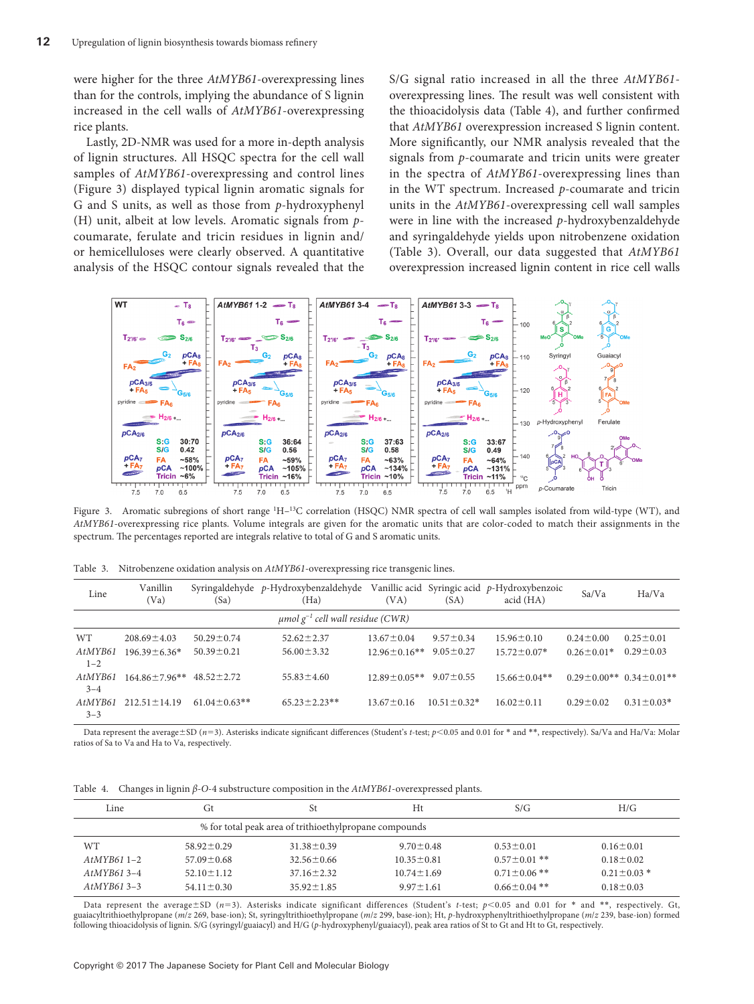were higher for the three *AtMYB61*-overexpressing lines than for the controls, implying the abundance of S lignin increased in the cell walls of *AtMYB61*-overexpressing rice plants.

Lastly, 2D-NMR was used for a more in-depth analysis of lignin structures. All HSQC spectra for the cell wall samples of *AtMYB61*-overexpressing and control lines (Figure 3) displayed typical lignin aromatic signals for G and S units, as well as those from *p*-hydroxyphenyl (H) unit, albeit at low levels. Aromatic signals from *p*coumarate, ferulate and tricin residues in lignin and/ or hemicelluloses were clearly observed. A quantitative analysis of the HSQC contour signals revealed that the S/G signal ratio increased in all the three *AtMYB61* overexpressing lines. The result was well consistent with the thioacidolysis data (Table 4), and further confirmed that *AtMYB61* overexpression increased S lignin content. More significantly, our NMR analysis revealed that the signals from *p*-coumarate and tricin units were greater in the spectra of *AtMYB61*-overexpressing lines than in the WT spectrum. Increased *p*-coumarate and tricin units in the *AtMYB61*-overexpressing cell wall samples were in line with the increased *p*-hydroxybenzaldehyde and syringaldehyde yields upon nitrobenzene oxidation (Table 3). Overall, our data suggested that *AtMYB61* overexpression increased lignin content in rice cell walls



Figure 3. Aromatic subregions of short range <sup>1</sup>H-<sup>13</sup>C correlation (HSQC) NMR spectra of cell wall samples isolated from wild-type (WT), and *AtMYB61*-overexpressing rice plants. Volume integrals are given for the aromatic units that are color-coded to match their assignments in the spectrum. The percentages reported are integrals relative to total of G and S aromatic units.

Table 3. Nitrobenzene oxidation analysis on *AtMYB61*-overexpressing rice transgenic lines.

| Line                                              | Vanillin<br>(Va)   | (Sa)              | Syringaldehyde p-Hydroxybenzaldehyde<br>(Ha) | (VA)               | (SA)               | Vanillic acid Syringic acid $p$ -Hydroxybenzoic<br>acid (HA) | Sa/Va                         | Ha/Va            |
|---------------------------------------------------|--------------------|-------------------|----------------------------------------------|--------------------|--------------------|--------------------------------------------------------------|-------------------------------|------------------|
| $\mu$ mol g <sup>-1</sup> cell wall residue (CWR) |                    |                   |                                              |                    |                    |                                                              |                               |                  |
| <b>WT</b>                                         | $208.69 \pm 4.03$  | $50.29 \pm 0.74$  | $52.62 \pm 2.37$                             | $13.67 \pm 0.04$   | $9.57 \pm 0.34$    | $15.96 \pm 0.10$                                             | $0.24 \pm 0.00$               | $0.25 \pm 0.01$  |
| AtMYB61<br>$1 - 2$                                | $196.39 \pm 6.36*$ | $50.39 \pm 0.21$  | $56.00 \pm 3.32$                             | $12.96 \pm 0.16**$ | $9.05 \pm 0.27$    | $15.72 \pm 0.07*$                                            | $0.26 \pm 0.01*$              | $0.29 \pm 0.03$  |
| AtMYB61<br>$3 - 4$                                | $164.86 + 7.96**$  | $48.52 + 2.72$    | $55.83 \pm 4.60$                             | $12.89 + 0.05**$   | $9.07 + 0.55$      | $15.66 \pm 0.04**$                                           | $0.29 + 0.00**$ 0.34 + 0.01** |                  |
| AtMYB61<br>$3 - 3$                                | $212.51 \pm 14.19$ | $61.04 + 0.63$ ** | $65.23 \pm 2.23**$                           | $13.67 \pm 0.16$   | $10.51 \pm 0.32$ * | $16.02 \pm 0.11$                                             | $0.29 \pm 0.02$               | $0.31 \pm 0.03*$ |

Data represent the average±SD (*n*=3). Asterisks indicate significant differences (Student's *t*-test;  $p$ <0.05 and 0.01 for \* and \*\*, respectively). Sa/Va and Ha/Va: Molar ratios of Sa to Va and Ha to Va, respectively.

Table 4. Changes in lignin *β*-*O*-4 substructure composition in the *AtMYB61*-overexpressed plants.

| Line         | Gt                                                     | St               | Ht               | S/G                | H/G               |  |  |  |
|--------------|--------------------------------------------------------|------------------|------------------|--------------------|-------------------|--|--|--|
|              | % for total peak area of trithioethylpropane compounds |                  |                  |                    |                   |  |  |  |
| WT           | $58.92 \pm 0.29$                                       | $31.38 \pm 0.39$ | $9.70 \pm 0.48$  | $0.53 \pm 0.01$    | $0.16 \pm 0.01$   |  |  |  |
| $AtMYB611-2$ | $57.09 \pm 0.68$                                       | $32.56 \pm 0.66$ | $10.35 \pm 0.81$ | $0.57 \pm 0.01$ ** | $0.18 \pm 0.02$   |  |  |  |
| $AtMYB613-4$ | $52.10 \pm 1.12$                                       | $37.16 \pm 2.32$ | $10.74 \pm 1.69$ | $0.71 \pm 0.06$ ** | $0.21 \pm 0.03$ * |  |  |  |
| $AtMYB613-3$ | $54.11 \pm 0.30$                                       | $35.92 \pm 1.85$ | $9.97 \pm 1.61$  | $0.66 \pm 0.04$ ** | $0.18 \pm 0.03$   |  |  |  |
|              |                                                        |                  |                  |                    |                   |  |  |  |

Data represent the average ±SD (*n*=3). Asterisks indicate significant differences (Student's *t*-test; *p*<0.05 and 0.01 for \* and \*\*, respectively. Gt, guaiacyltrithioethylpropane (*m*/*z* 269, base-ion); St, syringyltrithioethylpropane (*m*/*z* 299, base-ion); Ht, *p*-hydroxyphenyltrithioethylpropane (*m*/*z* 239, base-ion) formed following thioacidolysis of lignin. S/G (syringyl/guaiacyl) and H/G (*p*-hydroxyphenyl/guaiacyl), peak area ratios of St to Gt and Ht to Gt, respectively.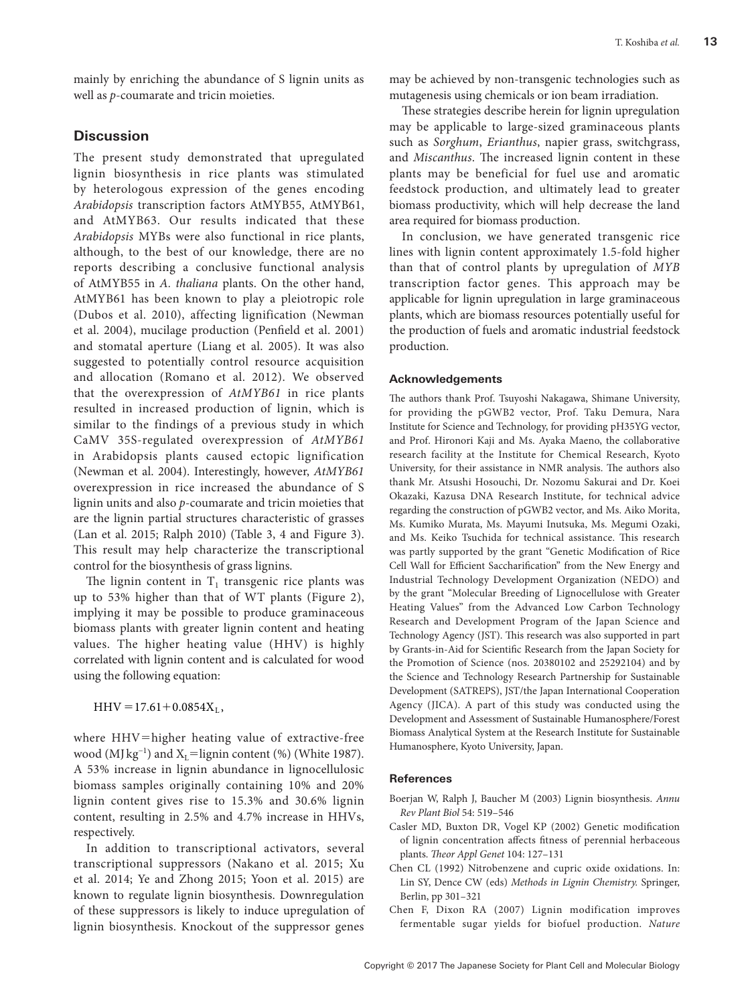mainly by enriching the abundance of S lignin units as well as *p*-coumarate and tricin moieties.

# **Discussion**

The present study demonstrated that upregulated lignin biosynthesis in rice plants was stimulated by heterologous expression of the genes encoding *Arabidopsis* transcription factors AtMYB55, AtMYB61, and AtMYB63. Our results indicated that these *Arabidopsis* MYBs were also functional in rice plants, although, to the best of our knowledge, there are no reports describing a conclusive functional analysis of AtMYB55 in *A. thaliana* plants. On the other hand, AtMYB61 has been known to play a pleiotropic role (Dubos et al. 2010), affecting lignification (Newman et al. 2004), mucilage production (Penfield et al. 2001) and stomatal aperture (Liang et al. 2005). It was also suggested to potentially control resource acquisition and allocation (Romano et al. 2012). We observed that the overexpression of *AtMYB61* in rice plants resulted in increased production of lignin, which is similar to the findings of a previous study in which CaMV 35S-regulated overexpression of *AtMYB61* in Arabidopsis plants caused ectopic lignification (Newman et al. 2004). Interestingly, however, *AtMYB61* overexpression in rice increased the abundance of S lignin units and also *p*-coumarate and tricin moieties that are the lignin partial structures characteristic of grasses (Lan et al. 2015; Ralph 2010) (Table 3, 4 and Figure 3). This result may help characterize the transcriptional control for the biosynthesis of grass lignins.

The lignin content in  $T_1$  transgenic rice plants was up to 53% higher than that of WT plants (Figure 2), implying it may be possible to produce graminaceous biomass plants with greater lignin content and heating values. The higher heating value (HHV) is highly correlated with lignin content and is calculated for wood using the following equation:

 $HHV = 17.61 + 0.0854X_L$ 

where HHV=higher heating value of extractive-free wood (MJ kg<sup>-1</sup>) and X<sub>L</sub>=lignin content (%) (White 1987). A 53% increase in lignin abundance in lignocellulosic biomass samples originally containing 10% and 20% lignin content gives rise to 15.3% and 30.6% lignin content, resulting in 2.5% and 4.7% increase in HHVs, respectively.

In addition to transcriptional activators, several transcriptional suppressors (Nakano et al. 2015; Xu et al. 2014; Ye and Zhong 2015; Yoon et al. 2015) are known to regulate lignin biosynthesis. Downregulation of these suppressors is likely to induce upregulation of lignin biosynthesis. Knockout of the suppressor genes

may be achieved by non-transgenic technologies such as mutagenesis using chemicals or ion beam irradiation.

These strategies describe herein for lignin upregulation may be applicable to large-sized graminaceous plants such as *Sorghum*, *Erianthus*, napier grass, switchgrass, and *Miscanthus*. The increased lignin content in these plants may be beneficial for fuel use and aromatic feedstock production, and ultimately lead to greater biomass productivity, which will help decrease the land area required for biomass production.

In conclusion, we have generated transgenic rice lines with lignin content approximately 1.5-fold higher than that of control plants by upregulation of *MYB* transcription factor genes. This approach may be applicable for lignin upregulation in large graminaceous plants, which are biomass resources potentially useful for the production of fuels and aromatic industrial feedstock production.

#### **Acknowledgements**

The authors thank Prof. Tsuyoshi Nakagawa, Shimane University, for providing the pGWB2 vector, Prof. Taku Demura, Nara Institute for Science and Technology, for providing pH35YG vector, and Prof. Hironori Kaji and Ms. Ayaka Maeno, the collaborative research facility at the Institute for Chemical Research, Kyoto University, for their assistance in NMR analysis. The authors also thank Mr. Atsushi Hosouchi, Dr. Nozomu Sakurai and Dr. Koei Okazaki, Kazusa DNA Research Institute, for technical advice regarding the construction of pGWB2 vector, and Ms. Aiko Morita, Ms. Kumiko Murata, Ms. Mayumi Inutsuka, Ms. Megumi Ozaki, and Ms. Keiko Tsuchida for technical assistance. This research was partly supported by the grant "Genetic Modification of Rice Cell Wall for Efficient Saccharification" from the New Energy and Industrial Technology Development Organization (NEDO) and by the grant "Molecular Breeding of Lignocellulose with Greater Heating Values" from the Advanced Low Carbon Technology Research and Development Program of the Japan Science and Technology Agency (JST). This research was also supported in part by Grants-in-Aid for Scientific Research from the Japan Society for the Promotion of Science (nos. 20380102 and 25292104) and by the Science and Technology Research Partnership for Sustainable Development (SATREPS), JST/the Japan International Cooperation Agency (JICA). A part of this study was conducted using the Development and Assessment of Sustainable Humanosphere/Forest Biomass Analytical System at the Research Institute for Sustainable Humanosphere, Kyoto University, Japan.

#### **References**

- [Boerjan W, Ralph J, Baucher M \(2003\) Lignin biosynthesis.](http://dx.doi.org/10.1146/annurev.arplant.54.031902.134938) *Annu [Rev Plant Biol](http://dx.doi.org/10.1146/annurev.arplant.54.031902.134938)* 54: 519–546
- [Casler MD, Buxton DR, Vogel KP \(2002\) Genetic modification](http://dx.doi.org/10.1007/s001220200015) [of lignin concentration affects fitness of perennial herbaceous](http://dx.doi.org/10.1007/s001220200015) plants. *[Theor Appl Genet](http://dx.doi.org/10.1007/s001220200015)* 104: 127–131
- Chen CL (1992) Nitrobenzene and cupric oxide oxidations. In: Lin SY, Dence CW (eds) *Methods in Lignin Chemistry.* Springer, Berlin, pp 301–321
- [Chen F, Dixon RA \(2007\) Lignin modification improves](http://dx.doi.org/10.1038/nbt1316) [fermentable sugar yields for biofuel production.](http://dx.doi.org/10.1038/nbt1316) *Nature*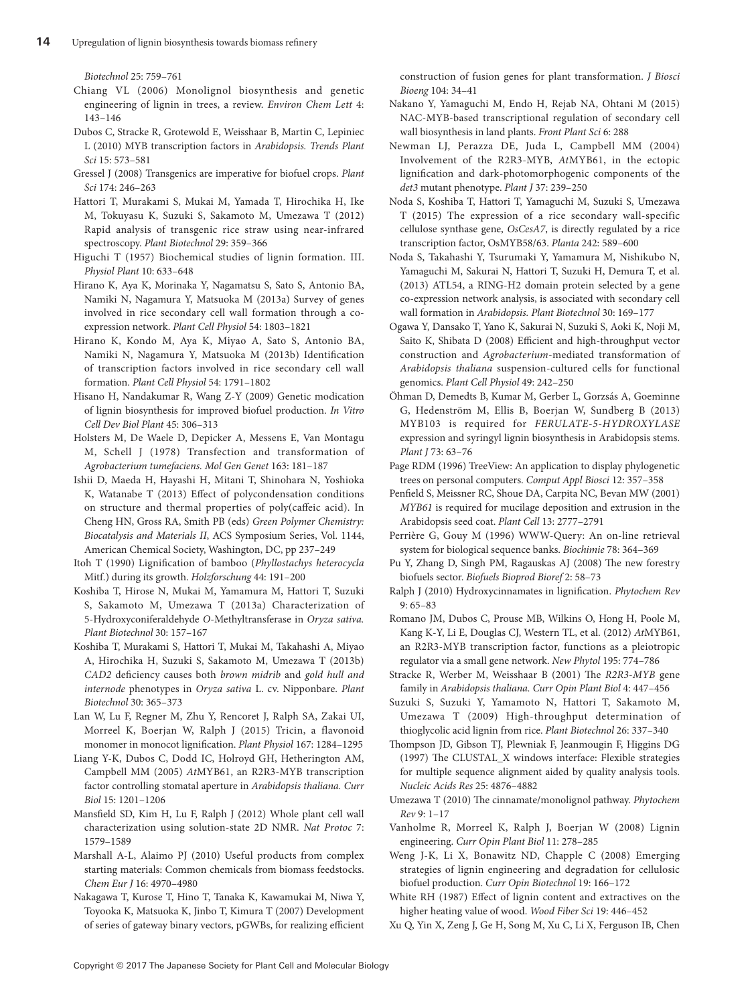*Biotechnol* [25: 759–761](http://dx.doi.org/10.1038/nbt1316)

- [Chiang VL \(2006\) Monolignol biosynthesis and genetic](http://dx.doi.org/10.1007/s10311-006-0067-9)  [engineering of lignin in trees, a review.](http://dx.doi.org/10.1007/s10311-006-0067-9) *Environ Chem Lett* 4: [143–146](http://dx.doi.org/10.1007/s10311-006-0067-9)
- [Dubos C, Stracke R, Grotewold E, Weisshaar B, Martin C, Lepiniec](http://dx.doi.org/10.1016/j.tplants.2010.06.005)  [L \(2010\) MYB transcription factors in](http://dx.doi.org/10.1016/j.tplants.2010.06.005) *Arabidopsis. Trends Plant Sci* [15: 573–581](http://dx.doi.org/10.1016/j.tplants.2010.06.005)
- [Gressel J \(2008\) Transgenics are imperative for biofuel crops.](http://dx.doi.org/10.1016/j.plantsci.2007.11.009) *Plant Sci* [174: 246–263](http://dx.doi.org/10.1016/j.plantsci.2007.11.009)
- [Hattori T, Murakami S, Mukai M, Yamada T, Hirochika H, Ike](http://dx.doi.org/10.5511/plantbiotechnology.12.0501a)  [M, Tokuyasu K, Suzuki S, Sakamoto M, Umezawa T \(2012\)](http://dx.doi.org/10.5511/plantbiotechnology.12.0501a)  [Rapid analysis of transgenic rice straw using near-infrared](http://dx.doi.org/10.5511/plantbiotechnology.12.0501a)  spectroscopy. *[Plant Biotechnol](http://dx.doi.org/10.5511/plantbiotechnology.12.0501a)* 29: 359–366
- [Higuchi T \(1957\) Biochemical studies of lignin formation. III.](http://dx.doi.org/10.1111/j.1399-3054.1957.tb06971.x)  *[Physiol Plant](http://dx.doi.org/10.1111/j.1399-3054.1957.tb06971.x)* 10: 633–648
- [Hirano K, Aya K, Morinaka Y, Nagamatsu S, Sato S, Antonio BA,](http://dx.doi.org/10.1093/pcp/pct121)  [Namiki N, Nagamura Y, Matsuoka M \(2013a\) Survey of genes](http://dx.doi.org/10.1093/pcp/pct121)  [involved in rice secondary cell wall formation through a co](http://dx.doi.org/10.1093/pcp/pct121)[expression network.](http://dx.doi.org/10.1093/pcp/pct121) *Plant Cell Physiol* 54: 1803–1821
- [Hirano K, Kondo M, Aya K, Miyao A, Sato S, Antonio BA,](http://dx.doi.org/10.1093/pcp/pct122)  [Namiki N, Nagamura Y, Matsuoka M \(2013b\) Identification](http://dx.doi.org/10.1093/pcp/pct122)  [of transcription factors involved in rice secondary cell wall](http://dx.doi.org/10.1093/pcp/pct122)  formation. *[Plant Cell Physiol](http://dx.doi.org/10.1093/pcp/pct122)* 54: 1791–1802
- [Hisano H, Nandakumar R, Wang Z-Y \(2009\) Genetic modication](http://dx.doi.org/10.1007/s11627-009-9219-5)  [of lignin biosynthesis for improved biofuel production.](http://dx.doi.org/10.1007/s11627-009-9219-5) *In Vitro [Cell Dev Biol Plant](http://dx.doi.org/10.1007/s11627-009-9219-5)* 45: 306–313
- [Holsters M, De Waele D, Depicker A, Messens E, Van Montagu](http://dx.doi.org/10.1007/BF00267408)  [M, Schell J \(1978\) Transfection and transformation of](http://dx.doi.org/10.1007/BF00267408)  *[Agrobacterium tumefaciens.](http://dx.doi.org/10.1007/BF00267408) Mol Gen Genet* 163: 181–187
- Ishii D, Maeda H, Hayashi H, Mitani T, Shinohara N, Yoshioka K, Watanabe T (2013) Effect of polycondensation conditions on structure and thermal properties of poly(caffeic acid). In Cheng HN, Gross RA, Smith PB (eds) *Green Polymer Chemistry: Biocatalysis and Materials II*, ACS Symposium Series, Vol. 1144, American Chemical Society, Washington, DC, pp 237–249
- [Itoh T \(1990\) Lignification of bamboo \(](http://dx.doi.org/10.1515/hfsg.1990.44.3.191)*Phyllostachys heterocycla* [Mitf.\) during its growth.](http://dx.doi.org/10.1515/hfsg.1990.44.3.191) *Holzforschung* 44: 191–200
- [Koshiba T, Hirose N, Mukai M, Yamamura M, Hattori T, Suzuki](http://dx.doi.org/10.5511/plantbiotechnology.13.0219a)  [S, Sakamoto M, Umezawa T \(2013a\) Characterization of](http://dx.doi.org/10.5511/plantbiotechnology.13.0219a)  [5-Hydroxyconiferaldehyde](http://dx.doi.org/10.5511/plantbiotechnology.13.0219a) *O*-Methyltransferase in *Oryza sativa. [Plant Biotechnol](http://dx.doi.org/10.5511/plantbiotechnology.13.0219a)* 30: 157–167
- [Koshiba T, Murakami S, Hattori T, Mukai M, Takahashi A, Miyao](http://dx.doi.org/10.5511/plantbiotechnology.13.0527a)  [A, Hirochika H, Suzuki S, Sakamoto M, Umezawa T \(2013b\)](http://dx.doi.org/10.5511/plantbiotechnology.13.0527a)  *CAD2* [deficiency causes both](http://dx.doi.org/10.5511/plantbiotechnology.13.0527a) *brown midrib* and *gold hull and internode* phenotypes in *Oryza sativa* [L. cv. Nipponbare.](http://dx.doi.org/10.5511/plantbiotechnology.13.0527a) *Plant Biotechnol* [30: 365–373](http://dx.doi.org/10.5511/plantbiotechnology.13.0527a)
- [Lan W, Lu F, Regner M, Zhu Y, Rencoret J, Ralph SA, Zakai UI,](http://dx.doi.org/10.1104/pp.114.253757)  [Morreel K, Boerjan W, Ralph J \(2015\) Tricin, a flavonoid](http://dx.doi.org/10.1104/pp.114.253757)  [monomer in monocot lignification.](http://dx.doi.org/10.1104/pp.114.253757) *Plant Physiol* 167: 1284–1295
- [Liang Y-K, Dubos C, Dodd IC, Holroyd GH, Hetherington AM,](http://dx.doi.org/10.1016/j.cub.2005.06.041)  Campbell MM (2005) *At*[MYB61, an R2R3-MYB transcription](http://dx.doi.org/10.1016/j.cub.2005.06.041)  [factor controlling stomatal aperture in](http://dx.doi.org/10.1016/j.cub.2005.06.041) *Arabidopsis thaliana. Curr Biol* [15: 1201–1206](http://dx.doi.org/10.1016/j.cub.2005.06.041)
- [Mansfield SD, Kim H, Lu F, Ralph J \(2012\) Whole plant cell wall](http://dx.doi.org/10.1038/nprot.2012.064)  [characterization using solution-state 2D NMR.](http://dx.doi.org/10.1038/nprot.2012.064) *Nat Protoc* 7: [1579–1589](http://dx.doi.org/10.1038/nprot.2012.064)
- [Marshall A-L, Alaimo PJ \(2010\) Useful products from complex](http://dx.doi.org/10.1002/chem.200903028)  [starting materials: Common chemicals from biomass feedstocks.](http://dx.doi.org/10.1002/chem.200903028)  *Chem Eur J* [16: 4970–4980](http://dx.doi.org/10.1002/chem.200903028)
- [Nakagawa T, Kurose T, Hino T, Tanaka K, Kawamukai M, Niwa Y,](http://dx.doi.org/10.1263/jbb.104.34)  [Toyooka K, Matsuoka K, Jinbo T, Kimura T \(2007\) Development](http://dx.doi.org/10.1263/jbb.104.34)  [of series of gateway binary vectors, pGWBs, for realizing efficient](http://dx.doi.org/10.1263/jbb.104.34)

[construction of fusion genes for plant transformation.](http://dx.doi.org/10.1263/jbb.104.34) *J Biosci Bioeng* [104: 34–41](http://dx.doi.org/10.1263/jbb.104.34)

- [Nakano Y, Yamaguchi M, Endo H, Rejab NA, Ohtani M \(2015\)](http://dx.doi.org/10.3389/fpls.2015.00288) [NAC-MYB-based transcriptional regulation of secondary cell](http://dx.doi.org/10.3389/fpls.2015.00288) [wall biosynthesis in land plants.](http://dx.doi.org/10.3389/fpls.2015.00288) *Front Plant Sci* 6: 288
- [Newman LJ, Perazza DE, Juda L, Campbell MM \(2004\)](http://dx.doi.org/10.1046/j.1365-313X.2003.01953.x) [Involvement of the R2R3-MYB,](http://dx.doi.org/10.1046/j.1365-313X.2003.01953.x) *At*MYB61, in the ectopic [lignification and dark-photomorphogenic components of the](http://dx.doi.org/10.1046/j.1365-313X.2003.01953.x) *det3* [mutant phenotype.](http://dx.doi.org/10.1046/j.1365-313X.2003.01953.x) *Plant J* 37: 239–250
- [Noda S, Koshiba T, Hattori T, Yamaguchi M, Suzuki S, Umezawa](http://dx.doi.org/10.1007/s00425-015-2343-z) [T \(2015\) The expression of a rice secondary wall-specific](http://dx.doi.org/10.1007/s00425-015-2343-z) cellulose synthase gene, *OsCesA7*[, is directly regulated by a rice](http://dx.doi.org/10.1007/s00425-015-2343-z) [transcription factor, OsMYB58/63.](http://dx.doi.org/10.1007/s00425-015-2343-z) *Planta* 242: 589–600
- [Noda S, Takahashi Y, Tsurumaki Y, Yamamura M, Nishikubo N,](http://dx.doi.org/10.5511/plantbiotechnology.13.0304a) [Yamaguchi M, Sakurai N, Hattori T, Suzuki H, Demura T, et al.](http://dx.doi.org/10.5511/plantbiotechnology.13.0304a) [\(2013\) ATL54, a RING-H2 domain protein selected by a gene](http://dx.doi.org/10.5511/plantbiotechnology.13.0304a) [co-expression network analysis, is associated with secondary cell](http://dx.doi.org/10.5511/plantbiotechnology.13.0304a) [wall formation in](http://dx.doi.org/10.5511/plantbiotechnology.13.0304a) *Arabidopsis. Plant Biotechnol* 30: 169–177
- [Ogawa Y, Dansako T, Yano K, Sakurai N, Suzuki S, Aoki K, Noji M,](http://dx.doi.org/10.1093/pcp/pcm181) [Saito K, Shibata D \(2008\) Efficient and high-throughput vector](http://dx.doi.org/10.1093/pcp/pcm181) construction and *Agrobacterium*[-mediated transformation of](http://dx.doi.org/10.1093/pcp/pcm181) *Arabidopsis thaliana* [suspension-cultured cells for functional](http://dx.doi.org/10.1093/pcp/pcm181) genomics. *[Plant Cell Physiol](http://dx.doi.org/10.1093/pcp/pcm181)* 49: 242–250
- [Öhman D, Demedts B, Kumar M, Gerber L, Gorzsás A, Goeminne](http://dx.doi.org/10.1111/tpj.12018) [G, Hedenström M, Ellis B, Boerjan W, Sundberg B \(2013\)](http://dx.doi.org/10.1111/tpj.12018) MYB103 is required for *[FERULATE-5-HYDROXYLASE](http://dx.doi.org/10.1111/tpj.12018)* [expression and syringyl lignin biosynthesis in Arabidopsis stems.](http://dx.doi.org/10.1111/tpj.12018)  *Plant J* [73: 63–76](http://dx.doi.org/10.1111/tpj.12018)
- [Page RDM \(1996\) TreeView: An application to display phylogenetic](http://dx.doi.org/10.1093/bioinformatics/12.4.357) [trees on personal computers.](http://dx.doi.org/10.1093/bioinformatics/12.4.357) *Comput Appl Biosci* 12: 357–358
- [Penfield S, Meissner RC, Shoue DA, Carpita NC, Bevan MW \(2001\)](http://dx.doi.org/10.1105/tpc.13.12.2777) *MYB61* [is required for mucilage deposition and extrusion in the](http://dx.doi.org/10.1105/tpc.13.12.2777) [Arabidopsis seed coat.](http://dx.doi.org/10.1105/tpc.13.12.2777) *Plant Cell* 13: 2777–2791
- [Perrière G, Gouy M \(1996\) WWW-Query: An on-line retrieval](http://dx.doi.org/10.1016/0300-9084(96)84768-7) [system for biological sequence banks.](http://dx.doi.org/10.1016/0300-9084(96)84768-7) *Biochimie* 78: 364–369
- [Pu Y, Zhang D, Singh PM, Ragauskas AJ \(2008\) The new forestry](http://dx.doi.org/10.1002/bbb.48) biofuels sector. *[Biofuels Bioprod Bioref](http://dx.doi.org/10.1002/bbb.48)* 2: 58–73
- [Ralph J \(2010\) Hydroxycinnamates in lignification.](http://dx.doi.org/10.1007/s11101-009-9141-9) *Phytochem Rev* [9: 65–83](http://dx.doi.org/10.1007/s11101-009-9141-9)
- [Romano JM, Dubos C, Prouse MB, Wilkins O, Hong H, Poole M,](http://dx.doi.org/10.1111/j.1469-8137.2012.04201.x) [Kang K-Y, Li E, Douglas CJ, Western TL, et al. \(2012\)](http://dx.doi.org/10.1111/j.1469-8137.2012.04201.x) *At*MYB61, [an R2R3-MYB transcription factor, functions as a pleiotropic](http://dx.doi.org/10.1111/j.1469-8137.2012.04201.x) [regulator via a small gene network.](http://dx.doi.org/10.1111/j.1469-8137.2012.04201.x) *New Phytol* 195: 774–786
- [Stracke R, Werber M, Weisshaar B \(2001\) The](http://dx.doi.org/10.1016/S1369-5266(00)00199-0) *R2R3-MYB* gene family in *[Arabidopsis thaliana.](http://dx.doi.org/10.1016/S1369-5266(00)00199-0) Curr Opin Plant Biol* 4: 447–456
- [Suzuki S, Suzuki Y, Yamamoto N, Hattori T, Sakamoto M,](http://dx.doi.org/10.5511/plantbiotechnology.26.337) [Umezawa T \(2009\) High-throughput determination of](http://dx.doi.org/10.5511/plantbiotechnology.26.337) [thioglycolic acid lignin from rice.](http://dx.doi.org/10.5511/plantbiotechnology.26.337) *Plant Biotechnol* 26: 337–340
- [Thompson JD, Gibson TJ, Plewniak F, Jeanmougin F, Higgins DG](http://dx.doi.org/10.1093/nar/25.24.4876) [\(1997\) The CLUSTAL\\_X windows interface: Flexible strategies](http://dx.doi.org/10.1093/nar/25.24.4876) [for multiple sequence alignment aided by quality analysis tools.](http://dx.doi.org/10.1093/nar/25.24.4876)  *[Nucleic Acids Res](http://dx.doi.org/10.1093/nar/25.24.4876)* 25: 4876–4882
- [Umezawa T \(2010\) The cinnamate/monolignol pathway.](http://dx.doi.org/10.1007/s11101-009-9155-3) *Phytochem Rev* [9: 1–17](http://dx.doi.org/10.1007/s11101-009-9155-3)
- [Vanholme R, Morreel K, Ralph J, Boerjan W \(2008\) Lignin](http://dx.doi.org/10.1016/j.pbi.2008.03.005) engineering. *[Curr Opin Plant Biol](http://dx.doi.org/10.1016/j.pbi.2008.03.005)* 11: 278–285
- [Weng J-K, Li X, Bonawitz ND, Chapple C \(2008\) Emerging](http://dx.doi.org/10.1016/j.copbio.2008.02.014) [strategies of lignin engineering and degradation for cellulosic](http://dx.doi.org/10.1016/j.copbio.2008.02.014) biofuel production. *[Curr Opin Biotechnol](http://dx.doi.org/10.1016/j.copbio.2008.02.014)* 19: 166–172
- White RH (1987) Effect of lignin content and extractives on the higher heating value of wood. *Wood Fiber Sci* 19: 446–452
- [Xu Q, Yin X, Zeng J, Ge H, Song M, Xu C, Li X, Ferguson IB, Chen](http://dx.doi.org/10.1093/jxb/eru208)